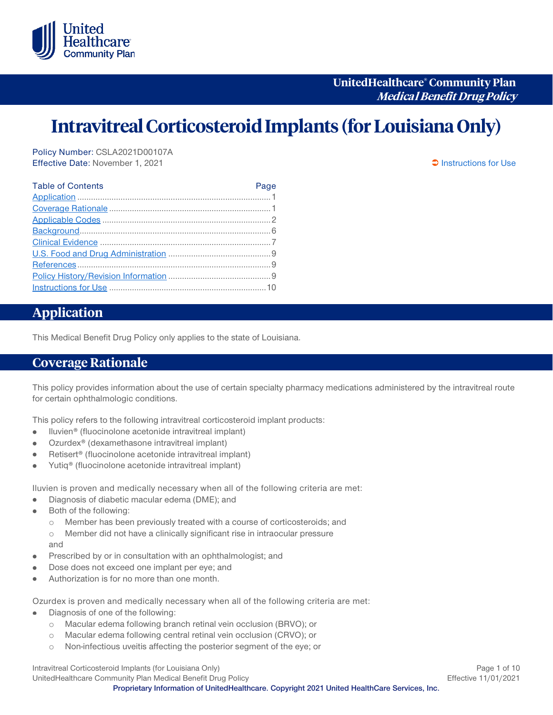

**UnitedHealthcare® Community Plan Medical Benefit Drug Policy**

# **Intravitreal Corticosteroid Implants (for Louisiana Only)**

Policy Number: CSLA2021D00107A Effective Date: November 1, 2021 [Instructions for Use](#page-9-0)

| <b>Table of Contents</b> | Page |
|--------------------------|------|
|                          |      |
|                          |      |
|                          |      |
|                          |      |
|                          |      |
|                          |      |
|                          |      |
|                          |      |
|                          |      |
|                          |      |

# <span id="page-0-0"></span>**Application**

This Medical Benefit Drug Policy only applies to the state of Louisiana.

### <span id="page-0-1"></span>**Coverage Rationale**

This policy provides information about the use of certain specialty pharmacy medications administered by the intravitreal route for certain ophthalmologic conditions.

This policy refers to the following intravitreal corticosteroid implant products:

- Iluvien® (fluocinolone acetonide intravitreal implant)  $\bullet$
- Ozurdex® (dexamethasone intravitreal implant)
- Retisert® (fluocinolone acetonide intravitreal implant) ė
- Yutiq® (fluocinolone acetonide intravitreal implant)

Iluvien is proven and medically necessary when all of the following criteria are met:

- Diagnosis of diabetic macular edema (DME); and ٠
- Both of the following:  $\bullet$ 
	- o Member has been previously treated with a course of corticosteroids; and
	- o Member did not have a clinically significant rise in intraocular pressure and
- Prescribed by or in consultation with an ophthalmologist; and
- Dose does not exceed one implant per eye; and
- Authorization is for no more than one month.

Ozurdex is proven and medically necessary when all of the following criteria are met:

- Diagnosis of one of the following: ė
	- o Macular edema following branch retinal vein occlusion (BRVO); or
	- o Macular edema following central retinal vein occlusion (CRVO); or
	- o Non-infectious uveitis affecting the posterior segment of the eye; or

Intravitreal Corticosteroid Implants (for Louisiana Only) **Page 1 of 10** Page 1 of 10 UnitedHealthcare Community Plan Medical Benefit Drug Policy **Effective 11/01/2021** Effective 11/01/2021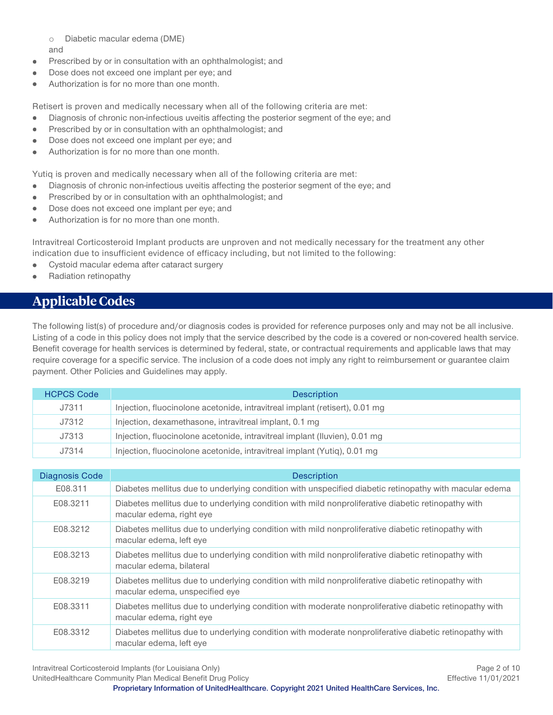o Diabetic macular edema (DME) and

- Prescribed by or in consultation with an ophthalmologist; and ۰
- ė Dose does not exceed one implant per eye; and
- Authorization is for no more than one month.

Retisert is proven and medically necessary when all of the following criteria are met:

- Diagnosis of chronic non-infectious uveitis affecting the posterior segment of the eye; and ò.
- Prescribed by or in consultation with an ophthalmologist; and  $\bullet$
- Dose does not exceed one implant per eye; and
- Authorization is for no more than one month.

Yutiq is proven and medically necessary when all of the following criteria are met:

- Diagnosis of chronic non-infectious uveitis affecting the posterior segment of the eye; and
- Prescribed by or in consultation with an ophthalmologist; and  $\bullet$
- Dose does not exceed one implant per eye; and  $\bullet$
- Authorization is for no more than one month.  $\bullet$

Intravitreal Corticosteroid Implant products are unproven and not medically necessary for the treatment any other indication due to insufficient evidence of efficacy including, but not limited to the following:

- Cystoid macular edema after cataract surgery  $\bullet$
- Radiation retinopathy

## <span id="page-1-0"></span>**Applicable Codes**

The following list(s) of procedure and/or diagnosis codes is provided for reference purposes only and may not be all inclusive. Listing of a code in this policy does not imply that the service described by the code is a covered or non-covered health service. Benefit coverage for health services is determined by federal, state, or contractual requirements and applicable laws that may require coverage for a specific service. The inclusion of a code does not imply any right to reimbursement or guarantee claim payment. Other Policies and Guidelines may apply.

| <b>HCPCS Code</b> | <b>Description</b>                                                          |
|-------------------|-----------------------------------------------------------------------------|
| J7311             | Injection, fluocinolone acetonide, intravitreal implant (retisert), 0.01 mg |
| J7312             | Injection, dexamethasone, intravitreal implant, 0.1 mg                      |
| J7313             | Injection, fluocinolone acetonide, intravitreal implant (Iluvien), 0.01 mg  |
| J7314             | Injection, fluocinolone acetonide, intravitreal implant (Yutiq), 0.01 mg    |

| <b>Diagnosis Code</b> | <b>Description</b>                                                                                                                   |
|-----------------------|--------------------------------------------------------------------------------------------------------------------------------------|
| E08.311               | Diabetes mellitus due to underlying condition with unspecified diabetic retinopathy with macular edema                               |
| E08.3211              | Diabetes mellitus due to underlying condition with mild nonproliferative diabetic retinopathy with<br>macular edema, right eye       |
| E08.3212              | Diabetes mellitus due to underlying condition with mild nonproliferative diabetic retinopathy with<br>macular edema, left eye        |
| E08.3213              | Diabetes mellitus due to underlying condition with mild nonproliferative diabetic retinopathy with<br>macular edema, bilateral       |
| E08.3219              | Diabetes mellitus due to underlying condition with mild nonproliferative diabetic retinopathy with<br>macular edema, unspecified eye |
| E08.3311              | Diabetes mellitus due to underlying condition with moderate nonproliferative diabetic retinopathy with<br>macular edema, right eye   |
| E08.3312              | Diabetes mellitus due to underlying condition with moderate nonproliferative diabetic retinopathy with<br>macular edema, left eye    |

Intravitreal Corticosteroid Implants (for Louisiana Only) **Page 2 of 10** Page 2 of 10 UnitedHealthcare Community Plan Medical Benefit Drug Policy **Effective 11/01/2021** Effective 11/01/2021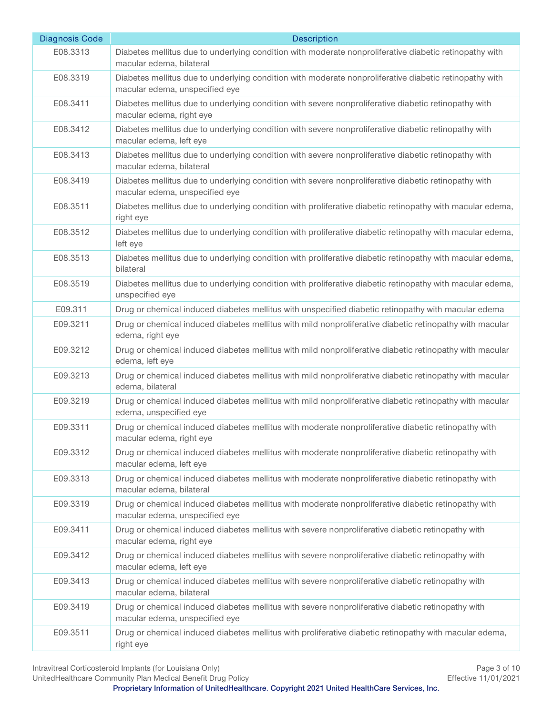| <b>Diagnosis Code</b> | <b>Description</b>                                                                                                                       |
|-----------------------|------------------------------------------------------------------------------------------------------------------------------------------|
| E08.3313              | Diabetes mellitus due to underlying condition with moderate nonproliferative diabetic retinopathy with<br>macular edema, bilateral       |
| E08.3319              | Diabetes mellitus due to underlying condition with moderate nonproliferative diabetic retinopathy with<br>macular edema, unspecified eye |
| E08.3411              | Diabetes mellitus due to underlying condition with severe nonproliferative diabetic retinopathy with<br>macular edema, right eye         |
| E08.3412              | Diabetes mellitus due to underlying condition with severe nonproliferative diabetic retinopathy with<br>macular edema, left eye          |
| E08.3413              | Diabetes mellitus due to underlying condition with severe nonproliferative diabetic retinopathy with<br>macular edema, bilateral         |
| E08.3419              | Diabetes mellitus due to underlying condition with severe nonproliferative diabetic retinopathy with<br>macular edema, unspecified eye   |
| E08.3511              | Diabetes mellitus due to underlying condition with proliferative diabetic retinopathy with macular edema,<br>right eye                   |
| E08.3512              | Diabetes mellitus due to underlying condition with proliferative diabetic retinopathy with macular edema,<br>left eye                    |
| E08.3513              | Diabetes mellitus due to underlying condition with proliferative diabetic retinopathy with macular edema,<br>bilateral                   |
| E08.3519              | Diabetes mellitus due to underlying condition with proliferative diabetic retinopathy with macular edema,<br>unspecified eye             |
| E09.311               | Drug or chemical induced diabetes mellitus with unspecified diabetic retinopathy with macular edema                                      |
| E09.3211              | Drug or chemical induced diabetes mellitus with mild nonproliferative diabetic retinopathy with macular<br>edema, right eye              |
| E09.3212              | Drug or chemical induced diabetes mellitus with mild nonproliferative diabetic retinopathy with macular<br>edema, left eye               |
| E09.3213              | Drug or chemical induced diabetes mellitus with mild nonproliferative diabetic retinopathy with macular<br>edema, bilateral              |
| E09.3219              | Drug or chemical induced diabetes mellitus with mild nonproliferative diabetic retinopathy with macular<br>edema, unspecified eye        |
| E09.3311              | Drug or chemical induced diabetes mellitus with moderate nonproliferative diabetic retinopathy with<br>macular edema, right eye          |
| E09.3312              | Drug or chemical induced diabetes mellitus with moderate nonproliferative diabetic retinopathy with<br>macular edema, left eye           |
| E09.3313              | Drug or chemical induced diabetes mellitus with moderate nonproliferative diabetic retinopathy with<br>macular edema, bilateral          |
| E09.3319              | Drug or chemical induced diabetes mellitus with moderate nonproliferative diabetic retinopathy with<br>macular edema, unspecified eye    |
| E09.3411              | Drug or chemical induced diabetes mellitus with severe nonproliferative diabetic retinopathy with<br>macular edema, right eye            |
| E09.3412              | Drug or chemical induced diabetes mellitus with severe nonproliferative diabetic retinopathy with<br>macular edema, left eye             |
| E09.3413              | Drug or chemical induced diabetes mellitus with severe nonproliferative diabetic retinopathy with<br>macular edema, bilateral            |
| E09.3419              | Drug or chemical induced diabetes mellitus with severe nonproliferative diabetic retinopathy with<br>macular edema, unspecified eye      |
| E09.3511              | Drug or chemical induced diabetes mellitus with proliferative diabetic retinopathy with macular edema,<br>right eye                      |

Intravitreal Corticosteroid Implants (for Louisiana Only) Page 3 of 10<br>
UnitedHealthcare Community Plan Medical Benefit Drug Policy Correspondence and Correspondence Community Plan Medical Benefit Drug Policy UnitedHealthcare Community Plan Medical Benefit Drug Policy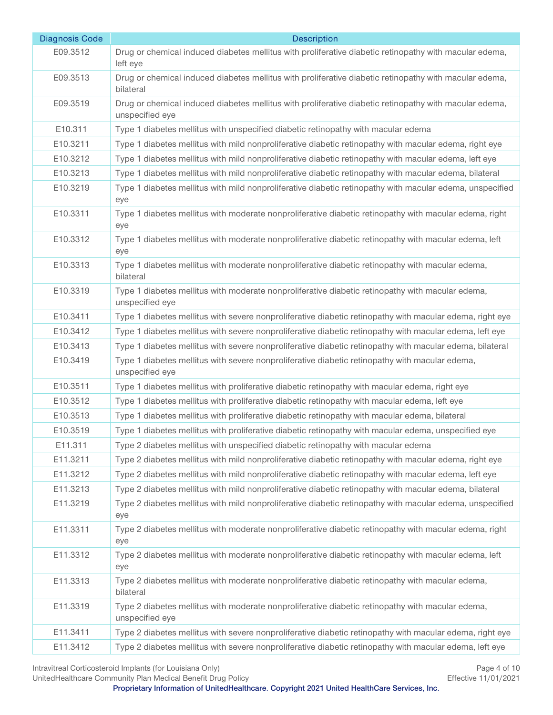| <b>Diagnosis Code</b> | <b>Description</b>                                                                                                        |
|-----------------------|---------------------------------------------------------------------------------------------------------------------------|
| E09.3512              | Drug or chemical induced diabetes mellitus with proliferative diabetic retinopathy with macular edema,<br>left eye        |
| E09.3513              | Drug or chemical induced diabetes mellitus with proliferative diabetic retinopathy with macular edema,<br>bilateral       |
| E09.3519              | Drug or chemical induced diabetes mellitus with proliferative diabetic retinopathy with macular edema,<br>unspecified eye |
| E10.311               | Type 1 diabetes mellitus with unspecified diabetic retinopathy with macular edema                                         |
| E10.3211              | Type 1 diabetes mellitus with mild nonproliferative diabetic retinopathy with macular edema, right eye                    |
| E10.3212              | Type 1 diabetes mellitus with mild nonproliferative diabetic retinopathy with macular edema, left eye                     |
| E10.3213              | Type 1 diabetes mellitus with mild nonproliferative diabetic retinopathy with macular edema, bilateral                    |
| E10.3219              | Type 1 diabetes mellitus with mild nonproliferative diabetic retinopathy with macular edema, unspecified<br>eye           |
| E10.3311              | Type 1 diabetes mellitus with moderate nonproliferative diabetic retinopathy with macular edema, right<br>eye             |
| E10.3312              | Type 1 diabetes mellitus with moderate nonproliferative diabetic retinopathy with macular edema, left<br>eye              |
| E10.3313              | Type 1 diabetes mellitus with moderate nonproliferative diabetic retinopathy with macular edema,<br>bilateral             |
| E10.3319              | Type 1 diabetes mellitus with moderate nonproliferative diabetic retinopathy with macular edema,<br>unspecified eye       |
| E10.3411              | Type 1 diabetes mellitus with severe nonproliferative diabetic retinopathy with macular edema, right eye                  |
| E10.3412              | Type 1 diabetes mellitus with severe nonproliferative diabetic retinopathy with macular edema, left eye                   |
| E10.3413              | Type 1 diabetes mellitus with severe nonproliferative diabetic retinopathy with macular edema, bilateral                  |
| E10.3419              | Type 1 diabetes mellitus with severe nonproliferative diabetic retinopathy with macular edema,<br>unspecified eye         |
| E10.3511              | Type 1 diabetes mellitus with proliferative diabetic retinopathy with macular edema, right eye                            |
| E10.3512              | Type 1 diabetes mellitus with proliferative diabetic retinopathy with macular edema, left eye                             |
| E10.3513              | Type 1 diabetes mellitus with proliferative diabetic retinopathy with macular edema, bilateral                            |
| E10.3519              | Type 1 diabetes mellitus with proliferative diabetic retinopathy with macular edema, unspecified eye                      |
| E11.311               | Type 2 diabetes mellitus with unspecified diabetic retinopathy with macular edema                                         |
| E11.3211              | Type 2 diabetes mellitus with mild nonproliferative diabetic retinopathy with macular edema, right eye                    |
| E11.3212              | Type 2 diabetes mellitus with mild nonproliferative diabetic retinopathy with macular edema, left eye                     |
| E11.3213              | Type 2 diabetes mellitus with mild nonproliferative diabetic retinopathy with macular edema, bilateral                    |
| E11.3219              | Type 2 diabetes mellitus with mild nonproliferative diabetic retinopathy with macular edema, unspecified<br>eye           |
| E11.3311              | Type 2 diabetes mellitus with moderate nonproliferative diabetic retinopathy with macular edema, right<br>eye             |
| E11.3312              | Type 2 diabetes mellitus with moderate nonproliferative diabetic retinopathy with macular edema, left<br>eye              |
| E11.3313              | Type 2 diabetes mellitus with moderate nonproliferative diabetic retinopathy with macular edema,<br>bilateral             |
| E11.3319              | Type 2 diabetes mellitus with moderate nonproliferative diabetic retinopathy with macular edema,<br>unspecified eye       |
| E11.3411              | Type 2 diabetes mellitus with severe nonproliferative diabetic retinopathy with macular edema, right eye                  |
| E11.3412              | Type 2 diabetes mellitus with severe nonproliferative diabetic retinopathy with macular edema, left eye                   |

UnitedHealthcare Community Plan Medical Benefit Drug Policy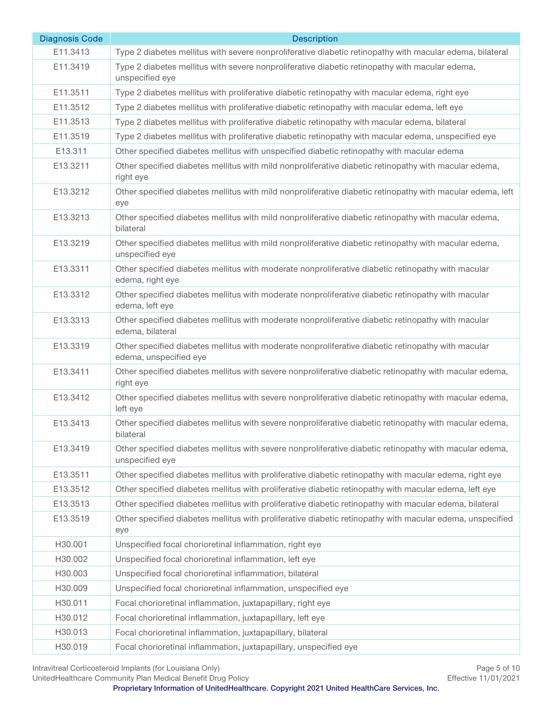| <b>Diagnosis Code</b> | <b>Description</b>                                                                                                           |
|-----------------------|------------------------------------------------------------------------------------------------------------------------------|
| E11.3413              | Type 2 diabetes mellitus with severe nonproliferative diabetic retinopathy with macular edema, bilateral                     |
| E11.3419              | Type 2 diabetes mellitus with severe nonproliferative diabetic retinopathy with macular edema,<br>unspecified eye            |
| E11.3511              | Type 2 diabetes mellitus with proliferative diabetic retinopathy with macular edema, right eye                               |
| E11.3512              | Type 2 diabetes mellitus with proliferative diabetic retinopathy with macular edema, left eye                                |
| E11.3513              | Type 2 diabetes mellitus with proliferative diabetic retinopathy with macular edema, bilateral                               |
| E11.3519              | Type 2 diabetes mellitus with proliferative diabetic retinopathy with macular edema, unspecified eye                         |
| E13.311               | Other specified diabetes mellitus with unspecified diabetic retinopathy with macular edema                                   |
| E13.3211              | Other specified diabetes mellitus with mild nonproliferative diabetic retinopathy with macular edema,<br>right eye           |
| E13.3212              | Other specified diabetes mellitus with mild nonproliferative diabetic retinopathy with macular edema, left<br>eye            |
| E13.3213              | Other specified diabetes mellitus with mild nonproliferative diabetic retinopathy with macular edema,<br>bilateral           |
| E13.3219              | Other specified diabetes mellitus with mild nonproliferative diabetic retinopathy with macular edema,<br>unspecified eye     |
| E13.3311              | Other specified diabetes mellitus with moderate nonproliferative diabetic retinopathy with macular<br>edema, right eye       |
| E13.3312              | Other specified diabetes mellitus with moderate nonproliferative diabetic retinopathy with macular<br>edema, left eye        |
| E13.3313              | Other specified diabetes mellitus with moderate nonproliferative diabetic retinopathy with macular<br>edema, bilateral       |
| E13.3319              | Other specified diabetes mellitus with moderate nonproliferative diabetic retinopathy with macular<br>edema, unspecified eye |
| E13.3411              | Other specified diabetes mellitus with severe nonproliferative diabetic retinopathy with macular edema,<br>right eye         |
| E13.3412              | Other specified diabetes mellitus with severe nonproliferative diabetic retinopathy with macular edema,<br>left eye          |
| E13.3413              | Other specified diabetes mellitus with severe nonproliferative diabetic retinopathy with macular edema,<br>hilateral         |
| E13.3419              | Other specified diabetes mellitus with severe nonproliferative diabetic retinopathy with macular edema,<br>unspecified eye   |
| E13.3511              | Other specified diabetes mellitus with proliferative diabetic retinopathy with macular edema, right eye                      |
| E13.3512              | Other specified diabetes mellitus with proliferative diabetic retinopathy with macular edema, left eye                       |
| E13.3513              | Other specified diabetes mellitus with proliferative diabetic retinopathy with macular edema, bilateral                      |
| E13.3519              | Other specified diabetes mellitus with proliferative diabetic retinopathy with macular edema, unspecified<br>eye             |
| H30.001               | Unspecified focal chorioretinal inflammation, right eye                                                                      |
| H30.002               | Unspecified focal chorioretinal inflammation, left eye                                                                       |
| H30.003               | Unspecified focal chorioretinal inflammation, bilateral                                                                      |
| H30.009               | Unspecified focal chorioretinal inflammation, unspecified eye                                                                |
| H30.011               | Focal chorioretinal inflammation, juxtapapillary, right eye                                                                  |
| H30.012               | Focal chorioretinal inflammation, juxtapapillary, left eye                                                                   |
| H30.013               | Focal chorioretinal inflammation, juxtapapillary, bilateral                                                                  |
| H30.019               | Focal chorioretinal inflammation, juxtapapillary, unspecified eye                                                            |

Intravitreal Corticosteroid Implants (for Louisiana Only) Page 5 of 10<br>
UnitedHealthcare Community Plan Medical Benefit Drug Policy Community Plan Medical Benefit Drug Policy

UnitedHealthcare Community Plan Medical Benefit Drug Policy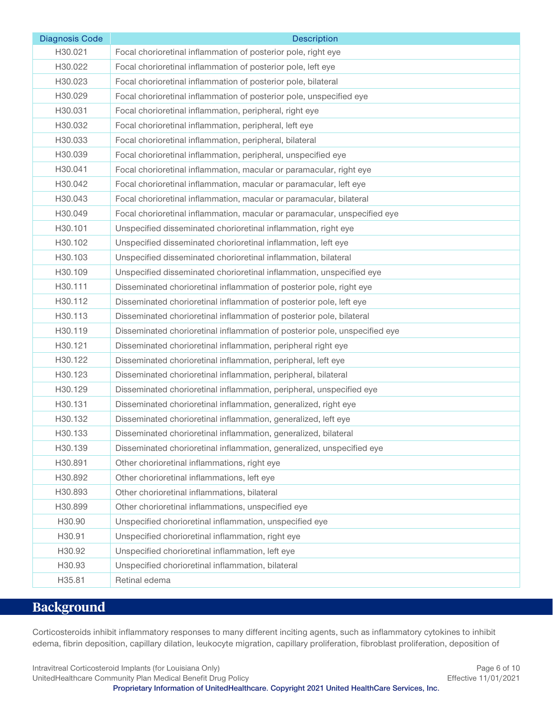| <b>Diagnosis Code</b> | <b>Description</b>                                                         |
|-----------------------|----------------------------------------------------------------------------|
| H30.021               | Focal chorioretinal inflammation of posterior pole, right eye              |
| H30.022               | Focal chorioretinal inflammation of posterior pole, left eye               |
| H30.023               | Focal chorioretinal inflammation of posterior pole, bilateral              |
| H30.029               | Focal chorioretinal inflammation of posterior pole, unspecified eye        |
| H30.031               | Focal chorioretinal inflammation, peripheral, right eye                    |
| H30.032               | Focal chorioretinal inflammation, peripheral, left eye                     |
| H30.033               | Focal chorioretinal inflammation, peripheral, bilateral                    |
| H30.039               | Focal chorioretinal inflammation, peripheral, unspecified eye              |
| H30.041               | Focal chorioretinal inflammation, macular or paramacular, right eye        |
| H30.042               | Focal chorioretinal inflammation, macular or paramacular, left eye         |
| H30.043               | Focal chorioretinal inflammation, macular or paramacular, bilateral        |
| H30.049               | Focal chorioretinal inflammation, macular or paramacular, unspecified eye  |
| H30.101               | Unspecified disseminated chorioretinal inflammation, right eye             |
| H30.102               | Unspecified disseminated chorioretinal inflammation, left eye              |
| H30.103               | Unspecified disseminated chorioretinal inflammation, bilateral             |
| H30.109               | Unspecified disseminated chorioretinal inflammation, unspecified eye       |
| H30.111               | Disseminated chorioretinal inflammation of posterior pole, right eye       |
| H30.112               | Disseminated chorioretinal inflammation of posterior pole, left eye        |
| H30.113               | Disseminated chorioretinal inflammation of posterior pole, bilateral       |
| H30.119               | Disseminated chorioretinal inflammation of posterior pole, unspecified eye |
| H30.121               | Disseminated chorioretinal inflammation, peripheral right eye              |
| H30.122               | Disseminated chorioretinal inflammation, peripheral, left eye              |
| H30.123               | Disseminated chorioretinal inflammation, peripheral, bilateral             |
| H30.129               | Disseminated chorioretinal inflammation, peripheral, unspecified eye       |
| H30.131               | Disseminated chorioretinal inflammation, generalized, right eye            |
| H30.132               | Disseminated chorioretinal inflammation, generalized, left eye             |
| H30.133               | Disseminated chorioretinal inflammation, generalized, bilateral            |
| H30.139               | Disseminated chorioretinal inflammation, generalized, unspecified eye      |
| H30.891               | Other chorioretinal inflammations, right eye                               |
| H30.892               | Other chorioretinal inflammations, left eye                                |
| H30.893               | Other chorioretinal inflammations, bilateral                               |
| H30.899               | Other chorioretinal inflammations, unspecified eye                         |
| H30.90                | Unspecified chorioretinal inflammation, unspecified eye                    |
| H30.91                | Unspecified chorioretinal inflammation, right eye                          |
| H30.92                | Unspecified chorioretinal inflammation, left eye                           |
| H30.93                | Unspecified chorioretinal inflammation, bilateral                          |
| H35.81                | Retinal edema                                                              |

# <span id="page-5-0"></span>**Background**

Corticosteroids inhibit inflammatory responses to many different inciting agents, such as inflammatory cytokines to inhibit edema, fibrin deposition, capillary dilation, leukocyte migration, capillary proliferation, fibroblast proliferation, deposition of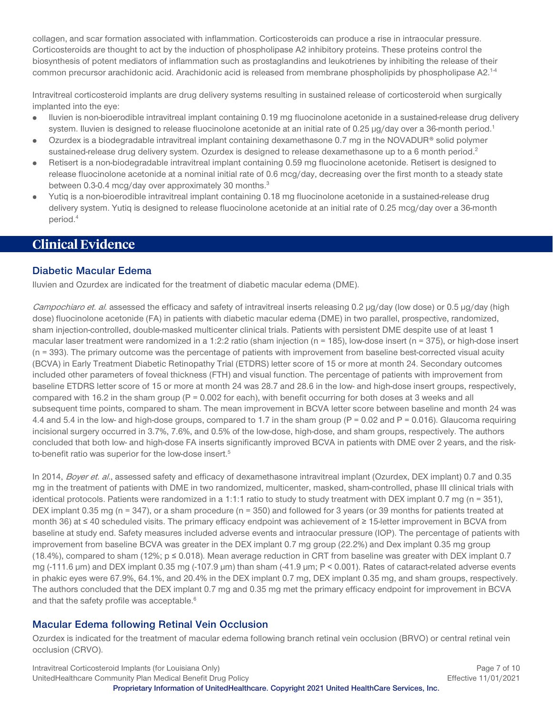collagen, and scar formation associated with inflammation. Corticosteroids can produce a rise in intraocular pressure. Corticosteroids are thought to act by the induction of phospholipase A2 inhibitory proteins. These proteins control the biosynthesis of potent mediators of inflammation such as prostaglandins and leukotrienes by inhibiting the release of their common precursor arachidonic acid. Arachidonic acid is released from membrane phospholipids by phospholipase A2.1-4

Intravitreal corticosteroid implants are drug delivery systems resulting in sustained release of corticosteroid when surgically implanted into the eye:

- Iluvien is non-bioerodible intravitreal implant containing 0.19 mg fluocinolone acetonide in a sustained-release drug delivery  $\bullet$ system. Iluvien is designed to release fluocinolone acetonide at an initial rate of 0.25 µg/day over a 36-month period.<sup>1</sup>
- Ozurdex is a biodegradable intravitreal implant containing dexamethasone 0.7 mg in the NOVADUR® solid polymer sustained-release drug delivery system. Ozurdex is designed to release dexamethasone up to a 6 month period.<sup>2</sup>
- Retisert is a non-biodegradable intravitreal implant containing 0.59 mg fluocinolone acetonide. Retisert is designed to  $\bullet$ release fluocinolone acetonide at a nominal initial rate of 0.6 mcg/day, decreasing over the first month to a steady state between 0.3-0.4 mcg/day over approximately 30 months.<sup>3</sup>
- Yutiq is a non-bioerodible intravitreal implant containing 0.18 mg fluocinolone acetonide in a sustained-release drug delivery system. Yutiq is designed to release fluocinolone acetonide at an initial rate of 0.25 mcg/day over a 36-month period.4

## <span id="page-6-0"></span>**Clinical Evidence**

#### **Diabetic Macular Edema**

Iluvien and Ozurdex are indicated for the treatment of diabetic macular edema (DME).

Campochiaro et. al. assessed the efficacy and safety of intravitreal inserts releasing 0.2 µg/day (low dose) or 0.5 µg/day (high dose) fluocinolone acetonide (FA) in patients with diabetic macular edema (DME) in two parallel, prospective, randomized, sham injection-controlled, double-masked multicenter clinical trials. Patients with persistent DME despite use of at least 1 macular laser treatment were randomized in a 1:2:2 ratio (sham injection ( $n = 185$ ), low-dose insert ( $n = 375$ ), or high-dose insert (n = 393). The primary outcome was the percentage of patients with improvement from baseline best-corrected visual acuity (BCVA) in Early Treatment Diabetic Retinopathy Trial (ETDRS) letter score of 15 or more at month 24. Secondary outcomes included other parameters of foveal thickness (FTH) and visual function. The percentage of patients with improvement from baseline ETDRS letter score of 15 or more at month 24 was 28.7 and 28.6 in the low- and high-dose insert groups, respectively, compared with 16.2 in the sham group ( $P = 0.002$  for each), with benefit occurring for both doses at 3 weeks and all subsequent time points, compared to sham. The mean improvement in BCVA letter score between baseline and month 24 was 4.4 and 5.4 in the low- and high-dose groups, compared to 1.7 in the sham group ( $P = 0.02$  and  $P = 0.016$ ). Glaucoma requiring incisional surgery occurred in 3.7%, 7.6%, and 0.5% of the low-dose, high-dose, and sham groups, respectively. The authors concluded that both low- and high-dose FA inserts significantly improved BCVA in patients with DME over 2 years, and the riskto-benefit ratio was superior for the low-dose insert.<sup>5</sup>

In 2014, Boyer et. al., assessed safety and efficacy of dexamethasone intravitreal implant (Ozurdex, DEX implant) 0.7 and 0.35 mg in the treatment of patients with DME in two randomized, multicenter, masked, sham-controlled, phase III clinical trials with identical protocols. Patients were randomized in a 1:1:1 ratio to study to study treatment with DEX implant 0.7 mg (n = 351), DEX implant 0.35 mg (n = 347), or a sham procedure (n = 350) and followed for 3 years (or 39 months for patients treated at month 36) at ≤ 40 scheduled visits. The primary efficacy endpoint was achievement of ≥ 15-letter improvement in BCVA from baseline at study end. Safety measures included adverse events and intraocular pressure (IOP). The percentage of patients with improvement from baseline BCVA was greater in the DEX implant 0.7 mg group (22.2%) and Dex implant 0.35 mg group (18.4%), compared to sham (12%;  $p \le 0.018$ ). Mean average reduction in CRT from baseline was greater with DEX implant 0.7 mg (-111.6 µm) and DEX implant 0.35 mg (-107.9 µm) than sham (-41.9 µm; P < 0.001). Rates of cataract-related adverse events in phakic eyes were 67.9%, 64.1%, and 20.4% in the DEX implant 0.7 mg, DEX implant 0.35 mg, and sham groups, respectively. The authors concluded that the DEX implant 0.7 mg and 0.35 mg met the primary efficacy endpoint for improvement in BCVA and that the safety profile was acceptable.<sup>6</sup>

### **Macular Edema following Retinal Vein Occlusion**

Ozurdex is indicated for the treatment of macular edema following branch retinal vein occlusion (BRVO) or central retinal vein occlusion (CRVO).

Intravitreal Corticosteroid Implants (for Louisiana Only) **Page 7 of 10** Page 7 of 10 UnitedHealthcare Community Plan Medical Benefit Drug Policy **Effective 11/01/2021** Effective 11/01/2021 **Proprietary Information of UnitedHealthcare. Copyright 2021 United HealthCare Services, Inc.**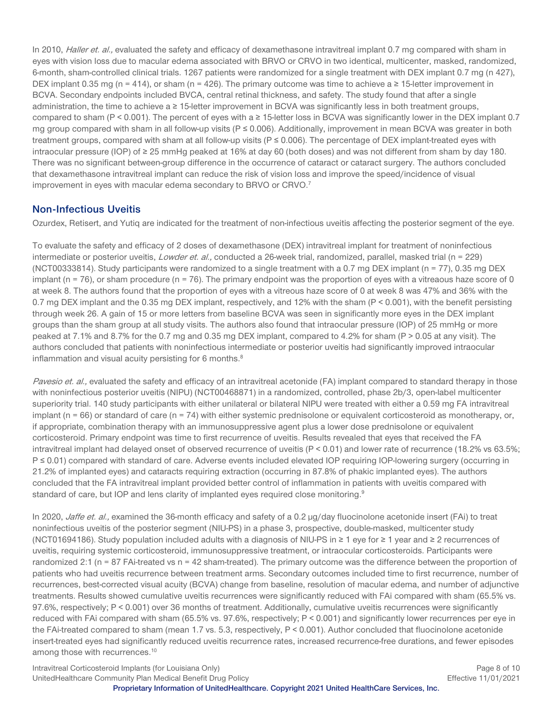In 2010, Haller et. al., evaluated the safety and efficacy of dexamethasone intravitreal implant 0.7 mg compared with sham in eyes with vision loss due to macular edema associated with BRVO or CRVO in two identical, multicenter, masked, randomized, 6-month, sham-controlled clinical trials. 1267 patients were randomized for a single treatment with DEX implant 0.7 mg (n 427), DEX implant 0.35 mg (n = 414), or sham (n = 426). The primary outcome was time to achieve a  $\geq$  15-letter improvement in BCVA. Secondary endpoints included BVCA, central retinal thickness, and safety. The study found that after a single administration, the time to achieve a ≥ 15-letter improvement in BCVA was significantly less in both treatment groups, compared to sham (P < 0.001). The percent of eyes with a  $\geq$  15-letter loss in BCVA was significantly lower in the DEX implant 0.7 mg group compared with sham in all follow-up visits ( $P \le 0.006$ ). Additionally, improvement in mean BCVA was greater in both treatment groups, compared with sham at all follow-up visits ( $P \le 0.006$ ). The percentage of DEX implant-treated eyes with intraocular pressure (IOP) of ≥ 25 mmHg peaked at 16% at day 60 (both doses) and was not different from sham by day 180. There was no significant between-group difference in the occurrence of cataract or cataract surgery. The authors concluded that dexamethasone intravitreal implant can reduce the risk of vision loss and improve the speed/incidence of visual improvement in eyes with macular edema secondary to BRVO or CRVO.7

### **Non-Infectious Uveitis**

Ozurdex, Retisert, and Yutiq are indicated for the treatment of non-infectious uveitis affecting the posterior segment of the eye.

To evaluate the safety and efficacy of 2 doses of dexamethasone (DEX) intravitreal implant for treatment of noninfectious intermediate or posterior uveitis, *Lowder et. al.*, conducted a 26-week trial, randomized, parallel, masked trial (n = 229) (NCT00333814). Study participants were randomized to a single treatment with a 0.7 mg DEX implant (n = 77), 0.35 mg DEX implant ( $n = 76$ ), or sham procedure ( $n = 76$ ). The primary endpoint was the proportion of eyes with a vitreaous haze score of 0 at week 8. The authors found that the proportion of eyes with a vitreous haze score of 0 at week 8 was 47% and 36% with the 0.7 mg DEX implant and the 0.35 mg DEX implant, respectively, and 12% with the sham (P < 0.001), with the benefit persisting through week 26. A gain of 15 or more letters from baseline BCVA was seen in significantly more eyes in the DEX implant groups than the sham group at all study visits. The authors also found that intraocular pressure (IOP) of 25 mmHg or more peaked at 7.1% and 8.7% for the 0.7 mg and 0.35 mg DEX implant, compared to 4.2% for sham (P > 0.05 at any visit). The authors concluded that patients with noninfectious intermediate or posterior uveitis had significantly improved intraocular inflammation and visual acuity persisting for 6 months.<sup>8</sup>

Pavesio et. al., evaluated the safety and efficacy of an intravitreal acetonide (FA) implant compared to standard therapy in those with noninfectious posterior uveitis (NIPU) (NCT00468871) in a randomized, controlled, phase 2b/3, open-label multicenter superiority trial. 140 study participants with either unilateral or bilateral NIPU were treated with either a 0.59 mg FA intravitreal implant (n = 66) or standard of care (n = 74) with either systemic prednisolone or equivalent corticosteroid as monotherapy, or, if appropriate, combination therapy with an immunosuppressive agent plus a lower dose prednisolone or equivalent corticosteroid. Primary endpoint was time to first recurrence of uveitis. Results revealed that eyes that received the FA intravitreal implant had delayed onset of observed recurrence of uveitis (P < 0.01) and lower rate of recurrence (18.2% vs 63.5%; P ≤ 0.01) compared with standard of care. Adverse events included elevated IOP requiring IOP-lowering surgery (occurring in 21.2% of implanted eyes) and cataracts requiring extraction (occurring in 87.8% of phakic implanted eyes). The authors concluded that the FA intravitreal implant provided better control of inflammation in patients with uveitis compared with standard of care, but IOP and lens clarity of implanted eyes required close monitoring.<sup>9</sup>

In 2020, Jaffe et. al., examined the 36-month efficacy and safety of a 0.2 µg/day fluocinolone acetonide insert (FAi) to treat noninfectious uveitis of the posterior segment (NIU-PS) in a phase 3, prospective, double-masked, multicenter study (NCT01694186). Study population included adults with a diagnosis of NIU-PS in ≥ 1 eye for ≥ 1 year and ≥ 2 recurrences of uveitis, requiring systemic corticosteroid, immunosuppressive treatment, or intraocular corticosteroids. Participants were randomized 2:1 ( $n = 87$  FAi-treated vs  $n = 42$  sham-treated). The primary outcome was the difference between the proportion of patients who had uveitis recurrence between treatment arms. Secondary outcomes included time to first recurrence, number of recurrences, best-corrected visual acuity (BCVA) change from baseline, resolution of macular edema, and number of adjunctive treatments. Results showed cumulative uveitis recurrences were significantly reduced with FAi compared with sham (65.5% vs. 97.6%, respectively; P < 0.001) over 36 months of treatment. Additionally, cumulative uveitis recurrences were significantly reduced with FAi compared with sham (65.5% vs. 97.6%, respectively; P < 0.001) and significantly lower recurrences per eye in the FAi-treated compared to sham (mean 1.7 vs. 5.3, respectively, P < 0.001). Author concluded that fluocinolone acetonide insert-treated eyes had significantly reduced uveitis recurrence rates, increased recurrence-free durations, and fewer episodes among those with recurrences.<sup>10</sup>

Intravitreal Corticosteroid Implants (for Louisiana Only) **Page 8 of 10** Page 8 of 10 UnitedHealthcare Community Plan Medical Benefit Drug Policy **Effective 11/01/2021** Effective 11/01/2021 **Proprietary Information of UnitedHealthcare. Copyright 2021 United HealthCare Services, Inc.**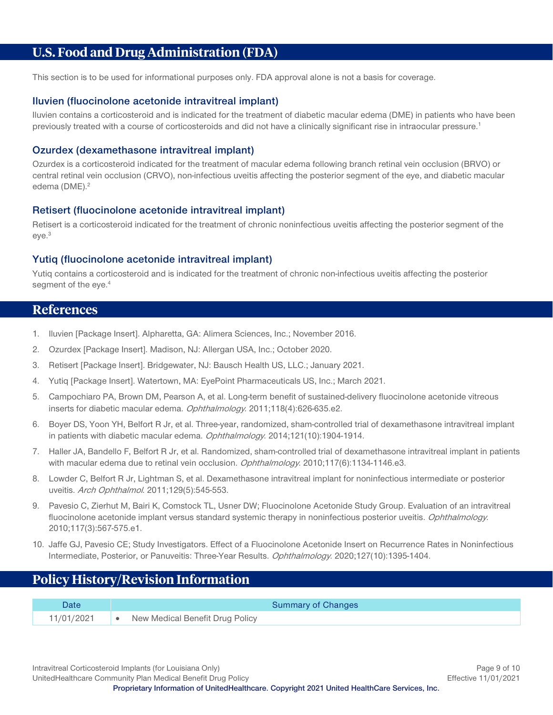# <span id="page-8-0"></span>**U.S. Food and Drug Administration (FDA)**

This section is to be used for informational purposes only. FDA approval alone is not a basis for coverage.

#### **Iluvien (fluocinolone acetonide intravitreal implant)**

Iluvien contains a corticosteroid and is indicated for the treatment of diabetic macular edema (DME) in patients who have been previously treated with a course of corticosteroids and did not have a clinically significant rise in intraocular pressure.<sup>1</sup>

#### **Ozurdex (dexamethasone intravitreal implant)**

Ozurdex is a corticosteroid indicated for the treatment of macular edema following branch retinal vein occlusion (BRVO) or central retinal vein occlusion (CRVO), non-infectious uveitis affecting the posterior segment of the eye, and diabetic macular edema (DME).<sup>2</sup>

#### **Retisert (fluocinolone acetonide intravitreal implant)**

Retisert is a corticosteroid indicated for the treatment of chronic noninfectious uveitis affecting the posterior segment of the eye.3

#### **Yutiq (fluocinolone acetonide intravitreal implant)**

Yutiq contains a corticosteroid and is indicated for the treatment of chronic non-infectious uveitis affecting the posterior segment of the eye.<sup>4</sup>

#### <span id="page-8-1"></span>**References**

- 1. Iluvien [Package Insert]. Alpharetta, GA: Alimera Sciences, Inc.; November 2016.
- 2. Ozurdex [Package Insert]. Madison, NJ: Allergan USA, Inc.; October 2020.
- 3. Retisert [Package Insert]. Bridgewater, NJ: Bausch Health US, LLC.; January 2021.
- 4. Yutiq [Package Insert]. Watertown, MA: EyePoint Pharmaceuticals US, Inc.; March 2021.
- 5. Campochiaro PA, Brown DM, Pearson A, et al. Long-term benefit of sustained-delivery fluocinolone acetonide vitreous inserts for diabetic macular edema. Ophthalmology. 2011;118(4):626-635.e2.
- 6. Boyer DS, Yoon YH, Belfort R Jr, et al. Three-year, randomized, sham-controlled trial of dexamethasone intravitreal implant in patients with diabetic macular edema. Ophthalmology. 2014;121(10):1904-1914.
- 7. Haller JA, Bandello F, Belfort R Jr, et al. Randomized, sham-controlled trial of dexamethasone intravitreal implant in patients with macular edema due to retinal vein occlusion. Ophthalmology. 2010;117(6):1134-1146.e3.
- 8. Lowder C, Belfort R Jr, Lightman S, et al. Dexamethasone intravitreal implant for noninfectious intermediate or posterior uveitis. Arch Ophthalmol. 2011;129(5):545-553.
- 9. Pavesio C, Zierhut M, Bairi K, Comstock TL, Usner DW; Fluocinolone Acetonide Study Group. Evaluation of an intravitreal fluocinolone acetonide implant versus standard systemic therapy in noninfectious posterior uveitis. Ophthalmology. 2010;117(3):567-575.e1.
- 10. Jaffe GJ, Pavesio CE; Study Investigators. Effect of a Fluocinolone Acetonide Insert on Recurrence Rates in Noninfectious Intermediate, Posterior, or Panuveitis: Three-Year Results. Ophthalmology. 2020;127(10):1395-1404.

# <span id="page-8-2"></span>**Policy History/Revision Information**

| Date       | Summary of Changes              |
|------------|---------------------------------|
| 11/01/2021 | New Medical Benefit Drug Policy |